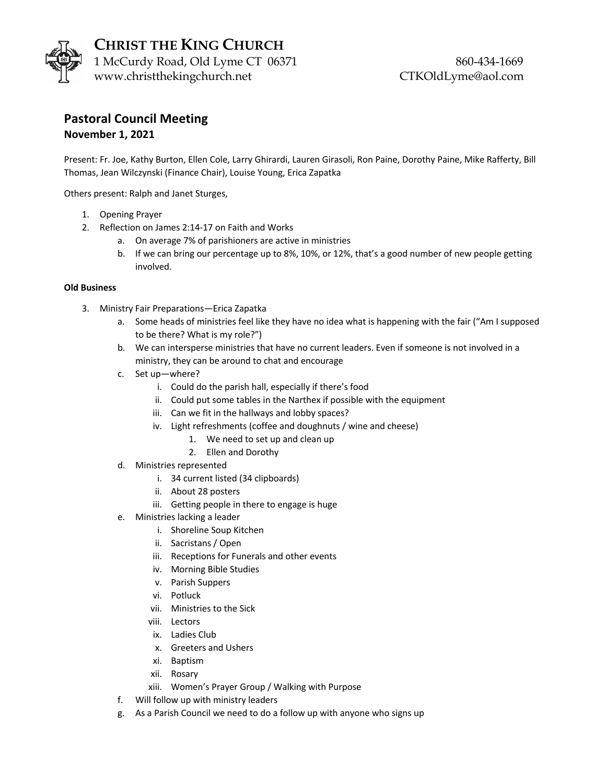

**CHRIST THE KING CHURCH** 1 McCurdy Road, Old Lyme CT 06371 860-434-1669 www.christthekingchurch.net CTKOldLyme@aol.com

## **Pastoral Council Meeting November 1, 2021**

Present: Fr. Joe, Kathy Burton, Ellen Cole, Larry Ghirardi, Lauren Girasoli, Ron Paine, Dorothy Paine, Mike Rafferty, Bill Thomas, Jean Wilczynski (Finance Chair), Louise Young, Erica Zapatka

Others present: Ralph and Janet Sturges,

- 1. Opening Prayer
- 2. Reflection on James 2:14-17 on Faith and Works
	- a. On average 7% of parishioners are active in ministries
	- b. If we can bring our percentage up to 8%, 10%, or 12%, that's a good number of new people getting involved.

## **Old Business**

- 3. Ministry Fair Preparations—Erica Zapatka
	- a. Some heads of ministries feel like they have no idea what is happening with the fair ("Am I supposed to be there? What is my role?")
	- b. We can intersperse ministries that have no current leaders. Even if someone is not involved in a ministry, they can be around to chat and encourage
	- c. Set up—where?
		- i. Could do the parish hall, especially if there's food
		- ii. Could put some tables in the Narthex if possible with the equipment
		- iii. Can we fit in the hallways and lobby spaces?
		- iv. Light refreshments (coffee and doughnuts / wine and cheese)
			- 1. We need to set up and clean up
			- 2. Ellen and Dorothy
	- d. Ministries represented
		- i. 34 current listed (34 clipboards)
		- ii. About 28 posters
		- iii. Getting people in there to engage is huge
	- e. Ministries lacking a leader
		- i. Shoreline Soup Kitchen
		- ii. Sacristans / Open
		- iii. Receptions for Funerals and other events
		- iv. Morning Bible Studies
		- v. Parish Suppers
		- vi. Potluck
		- vii. Ministries to the Sick
		- viii. Lectors
		- ix. Ladies Club
		- x. Greeters and Ushers
		- xi. Baptism
		- xii. Rosary
		- xiii. Women's Prayer Group / Walking with Purpose
	- f. Will follow up with ministry leaders
	- g. As a Parish Council we need to do a follow up with anyone who signs up